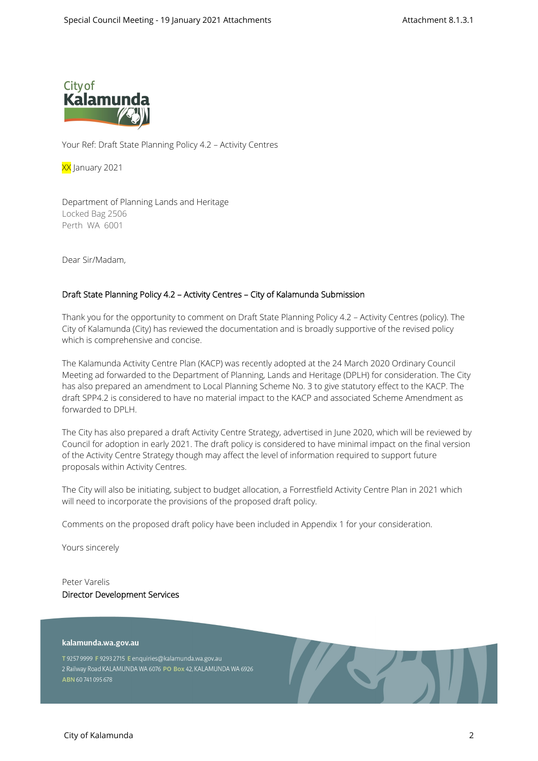

Your Ref: Draft State Planning Policy 4.2 – Activity Centres

XX January 2021

Department of Planning Lands and Heritage Locked Bag 2506 Perth WA 6001

Dear Sir/Madam,

## **Draft State Planning Policy 4.2 – Activity Centres – City of Kalamunda Submission**

Thank you for the opportunity to comment on Draft State Planning Policy 4.2 – Activity Centres (policy). The City of Kalamunda (City) has reviewed the documentation and is broadly supportive of the revised policy which is comprehensive and concise.

The Kalamunda Activity Centre Plan (KACP) was recently adopted at the 24 March 2020 Ordinary Council Meeting ad forwarded to the Department of Planning, Lands and Heritage (DPLH) for consideration. The City has also prepared an amendment to Local Planning Scheme No. 3 to give statutory effect to the KACP. The draft SPP4.2 is considered to have no material impact to the KACP and associated Scheme Amendment as forwarded to DPLH.

The City has also prepared a draft Activity Centre Strategy, advertised in June 2020, which will be reviewed by Council for adoption in early 2021. The draft policy is considered to have minimal impact on the final version of the Activity Centre Strategy though may affect the level of information required to support future proposals within Activity Centres.

The City will also be initiating, subject to budget allocation, a Forrestfield Activity Centre Plan in 2021 which will need to incorporate the provisions of the proposed draft policy.

Comments on the proposed draft policy have been included in Appendix 1 for your consideration.

Yours sincerely

Peter Varelis **Director Development Services** 

## kalamunda.wa.gov.au

T 9257 9999 F 9293 2715 E enquiries@kalamunda.wa.gov.au 2 Railway Road KALAMUNDA WA 6076 PO Box 42, KALAMUNDA WA 6926 ABN 60741095678